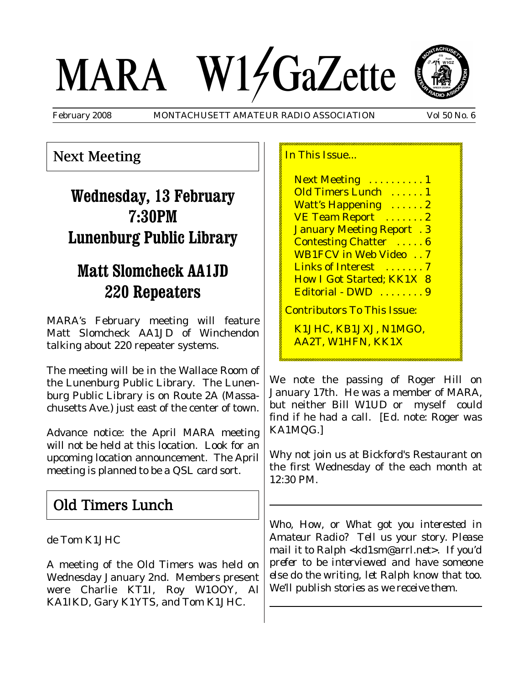# MARA W14GaZette



February 2008 MONTACHUSETT AMATEUR RADIO ASSOCIATION Vol 50 No. 6

## Next Meeting

# **Wednesday, 13 February 7:30PM Lunenburg Public Library**

# **Matt Slomcheck AA1JD 220 Repeaters**

MARA's February meeting will feature Matt Slomcheck AA1JD of Winchendon talking about 220 repeater systems.

The meeting will be in the Wallace Room of the Lunenburg Public Library. The Lunenburg Public Library is on Route 2A (Massachusetts Ave.) just east of the center of town.

Advance notice: the April MARA meeting will *not* be held at this location. Look for an upcoming location announcement. The April meeting is planned to be a QSL card sort.

## Old Timers Lunch

de Tom K1JHC

A meeting of the Old Timers was held on Wednesday January 2nd. Members present were Charlie KT1I, Roy W1OOY, Al KA1IKD, Gary K1YTS, and Tom K1JHC.

In This Issue...

Next Meeting ..........1 Old Timers Lunch . . . . . . 1 Watt's Happening ......2 VE Team Report ......2 January Meeting Report . 3 Contesting Chatter . . . . . 6 WB1FCV in Web Video . . 7 Links of Interest ....... 7 How I Got Started; KK1X 8 Editorial - DWD . . . . . . . 9 Contributors To This Issue: K1JHC, KB1JXJ, N1MGO, AA2T, W1HFN, KK1X

We note the passing of Roger Hill on January 17th. He was a member of MARA, but neither Bill W1UD or myself could find if he had a call. [Ed. note: Roger was KA1MQG.]

Why not join us at Bickford's Restaurant on the first Wednesday of the each month at 12:30 PM.

*Who, How, or What got you interested in Amateur Radio? Tell us your story. Please mail it to Ralph <kd1sm@arrl.net>. If you'd prefer to be interviewed and have someone else do the writing, let Ralph know that too. We'll publish stories as we receive them.*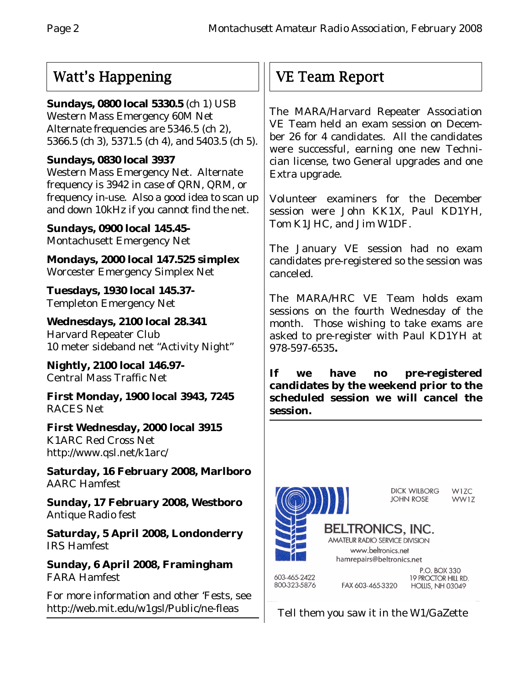## Watt's Happening

**Sundays, 0800 local 5330.5** (ch 1) USB Western Mass Emergency 60M Net Alternate frequencies are 5346.5 (ch 2), 5366.5 (ch 3), 5371.5 (ch 4), and 5403.5 (ch 5).

#### **Sundays, 0830 local 3937**

Western Mass Emergency Net. Alternate frequency is 3942 in case of QRN, QRM, or frequency in-use. Also a good idea to scan up and down 10kHz if you cannot find the net.

**Sundays, 0900 local 145.45-** Montachusett Emergency Net

**Mondays, 2000 local 147.525 simplex** Worcester Emergency Simplex Net

**Tuesdays, 1930 local 145.37-** Templeton Emergency Net

**Wednesdays, 2100 local 28.341** Harvard Repeater Club 10 meter sideband net "Activity Night"

**Nightly, 2100 local 146.97-** Central Mass Traffic Net

**First Monday, 1900 local 3943, 7245** RACES Net

**First Wednesday, 2000 local 3915** K1ARC Red Cross Net http://www.qsl.net/k1arc/

**Saturday, 16 February 2008, Marlboro** AARC Hamfest

**Sunday, 17 February 2008, Westboro** Antique Radio fest

**Saturday, 5 April 2008, Londonderry** IRS Hamfest

**Sunday, 6 April 2008, Framingham** FARA Hamfest

For more information and other 'Fests, see http://web.mit.edu/w1gsl/Public/ne-fleas

# VE Team Report

The MARA/Harvard Repeater Association VE Team held an exam session on December 26 for 4 candidates. All the candidates were successful, earning one new Technician license, two General upgrades and one Extra upgrade.

Volunteer examiners for the December session were John KK1X, Paul KD1YH, Tom K1JHC, and Jim W1DF.

The January VE session had no exam candidates pre-registered so the session was canceled.

The MARA/HRC VE Team holds exam sessions on the fourth Wednesday of the month. Those wishing to take exams are asked to pre-register with Paul KD1YH at 978-597-6535**.**

**If we have no pre-registered candidates by the weekend prior to the scheduled session we will cancel the session.**



Tell them you saw it in the W1/GaZette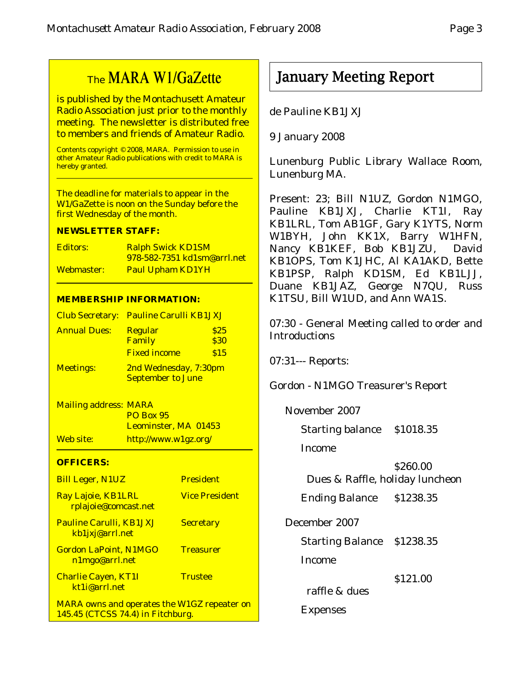## The MARA W1/GaZette

is published by the Montachusett Amateur Radio Association just prior to the monthly meeting. The newsletter is distributed free to members and friends of Amateur Radio.

Contents copyright © 2008, MARA. Permission to use in other Amateur Radio publications with credit to MARA is hereby granted.

The deadline for materials to appear in the W1/GaZette is noon on the Sunday before the first Wednesday of the month.

#### **NEWSLETTER STAFF:**

| <b>Editors:</b> | <b>Ralph Swick KD1SM</b>           |
|-----------------|------------------------------------|
|                 | <u>978-582-7351 kd1sm@arrl.net</u> |
| Webmaster:      | <b>Paul Upham KD1YH</b>            |

#### **MEMBERSHIP INFORMATION:**

|                     | <b>Club Secretary: Pauline Carulli KB1JXJ</b>     |                     |
|---------------------|---------------------------------------------------|---------------------|
| <b>Annual Dues:</b> | <b>Regular</b><br>Family                          | \$25<br><b>\$30</b> |
|                     | <b>Fixed income</b>                               | \$15                |
| <b>Meetings:</b>    | 2nd Wednesday, 7:30pm<br><b>September to June</b> |                     |

Mailing address: MARA PO Box 95 Leominster, MA 01453 Web site: http://www.w1gz.org/

#### **OFFICERS:**

| <b>Bill Leger, N1UZ</b>                                                                 | <b>President</b>      |
|-----------------------------------------------------------------------------------------|-----------------------|
| Ray Lajoie, KB1LRL<br>rplajoie@comcast.net                                              | <b>Vice President</b> |
| <b>Pauline Carulli, KB1JXJ</b><br>kb1jxj@arrl.net                                       | <b>Secretary</b>      |
| <b>Gordon LaPoint, N1MGO</b><br>n1mgo@arrl.net                                          | <b>Treasurer</b>      |
| <b>Charlie Cayen, KT1I</b><br>kt1i@arrl.net                                             | <b>Trustee</b>        |
| <b>MARA owns and operates the W1GZ repeater on</b><br>145.45 (CTCSS 74.4) in Fitchburg. |                       |

## January Meeting Report

de Pauline KB1JXJ

9 January 2008

Lunenburg Public Library Wallace Room, Lunenburg MA.

Present: 23; Bill N1UZ, Gordon N1MGO, Pauline KB1JXJ, Charlie KT1I, Ray KB1LRL, Tom AB1GF, Gary K1YTS, Norm W1BYH, John KK1X, Barry W1HFN, Nancy KB1KEF, Bob KB1JZU, David KB1OPS, Tom K1JHC, Al KA1AKD, Bette KB1PSP, Ralph KD1SM, Ed KB1LJJ, Duane KB1JAZ, George N7QU, Russ K1TSU, Bill W1UD, and Ann WA1S.

07:30 - General Meeting called to order and Introductions

07:31--- Reports:

Gordon - N1MGO Treasurer's Report

November 2007

Starting balance \$1018.35

Income

\$260.00 Dues & Raffle, holiday luncheon

Ending Balance \$1238.35

December 2007

Starting Balance \$1238.35

Income

\$121.00

raffle & dues

Expenses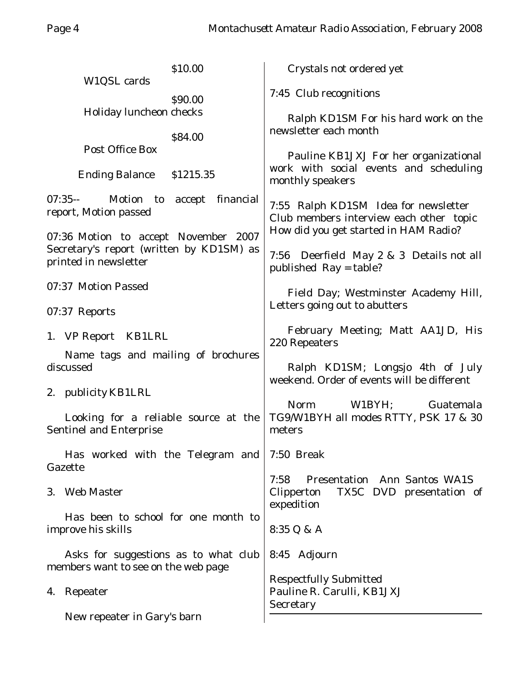| \$10.00<br>W1QSL cards                                                           | Crystals not ordered yet                                                                                                 |  |
|----------------------------------------------------------------------------------|--------------------------------------------------------------------------------------------------------------------------|--|
| \$90.00                                                                          | 7:45 Club recognitions                                                                                                   |  |
| Holiday luncheon checks<br>\$84.00                                               | Ralph KD1SM For his hard work on the<br>newsletter each month                                                            |  |
| <b>Post Office Box</b>                                                           | Pauline KB1JXJ For her organizational                                                                                    |  |
| <b>Ending Balance</b><br>\$1215.35                                               | work with social events and scheduling<br>monthly speakers                                                               |  |
| 07:35-- Motion to accept financial<br>report, Motion passed                      | 7:55 Ralph KD1SM Idea for newsletter<br>Club members interview each other topic<br>How did you get started in HAM Radio? |  |
| 07:36 Motion to accept November 2007<br>Secretary's report (written by KD1SM) as |                                                                                                                          |  |
| printed in newsletter                                                            | 7:56 Deerfield May 2 & 3 Details not all<br>published Ray = table?                                                       |  |
| 07:37 Motion Passed                                                              | Field Day; Westminster Academy Hill,<br>Letters going out to abutters                                                    |  |
| 07:37 Reports                                                                    |                                                                                                                          |  |
| 1. VP Report KB1LRL                                                              | February Meeting; Matt AA1JD, His<br>220 Repeaters                                                                       |  |
| Name tags and mailing of brochures<br>discussed                                  | Ralph KD1SM; Longsjo 4th of July<br>weekend. Order of events will be different<br>Norm<br>W1BYH<br>Guatemala             |  |
| 2. publicity KB1LRL                                                              |                                                                                                                          |  |
| Looking for a reliable source at the<br><b>Sentinel and Enterprise</b>           | TG9/W1BYH all modes RTTY, PSK 17 & 30<br>meters                                                                          |  |
| Has worked with the Telegram and<br>Gazette                                      | 7:50 Break                                                                                                               |  |
| 3. Web Master                                                                    | <b>Presentation</b> Ann Santos WA1S<br>7:58<br>Clipperton<br>TX5C DVD presentation of<br>expedition                      |  |
| Has been to school for one month to<br>improve his skills                        | 8:35 Q & A                                                                                                               |  |
| Asks for suggestions as to what club<br>members want to see on the web page      | 8:45 Adjourn                                                                                                             |  |
| 4. Repeater                                                                      | <b>Respectfully Submitted</b><br>Pauline R. Carulli, KB1JXJ<br>Secretary                                                 |  |
| New repeater in Gary's barn                                                      |                                                                                                                          |  |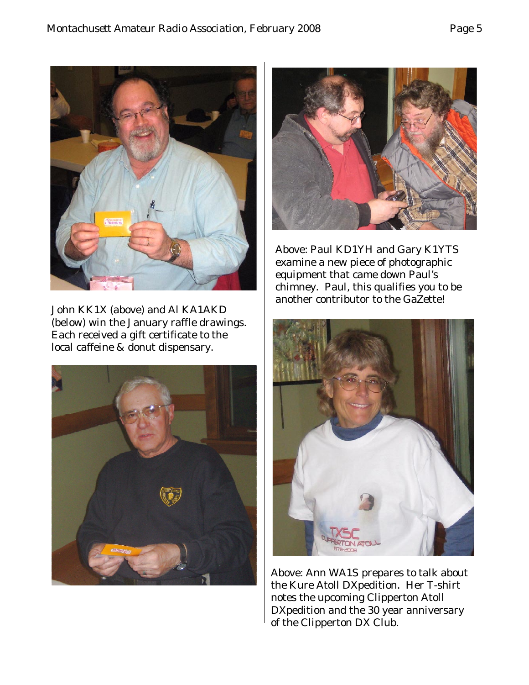

John KK1X (above) and Al KA1AKD (below) win the January raffle drawings. Each received a gift certificate to the local caffeine & donut dispensary.





Above: Paul KD1YH and Gary K1YTS examine a new piece of photographic equipment that came down Paul's chimney. Paul, this qualifies you to be another contributor to the GaZette!



Above: Ann WA1S prepares to talk about the Kure Atoll DXpedition. Her T-shirt notes the upcoming Clipperton Atoll DXpedition and the 30 year anniversary of the Clipperton DX Club.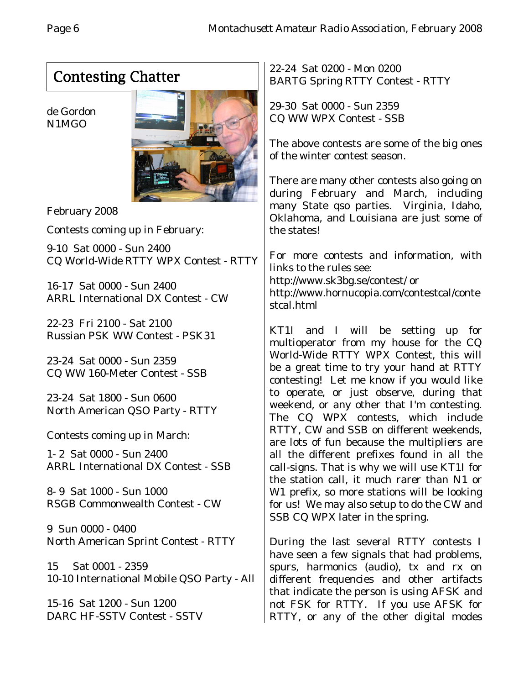# Contesting Chatter

de Gordon N1MGO



February 2008

Contests coming up in February:

9-10 Sat 0000 - Sun 2400 CQ World-Wide RTTY WPX Contest - RTTY

16-17 Sat 0000 - Sun 2400 ARRL International DX Contest - CW

22-23 Fri 2100 - Sat 2100 Russian PSK WW Contest - PSK31

23-24 Sat 0000 - Sun 2359 CQ WW 160-Meter Contest - SSB

23-24 Sat 1800 - Sun 0600 North American QSO Party - RTTY

Contests coming up in March:

1- 2 Sat 0000 - Sun 2400 ARRL International DX Contest - SSB

8- 9 Sat 1000 - Sun 1000 RSGB Commonwealth Contest - CW

9 Sun 0000 - 0400 North American Sprint Contest - RTTY

15 Sat 0001 - 2359 10-10 International Mobile QSO Party - All

15-16 Sat 1200 - Sun 1200 DARC HF-SSTV Contest - SSTV 22-24 Sat 0200 - Mon 0200 BARTG Spring RTTY Contest - RTTY

29-30 Sat 0000 - Sun 2359 CQ WW WPX Contest - SSB

The above contests are some of the big ones of the winter contest season.

There are many other contests also going on during February and March, including many State qso parties. Virginia, Idaho, Oklahoma, and Louisiana are just some of the states!

For more contests and information, with links to the rules see: http://www.sk3bg.se/contest/ or http://www.hornucopia.com/contestcal/conte stcal.html

KT1I and I will be setting up for multioperator from my house for the CQ World-Wide RTTY WPX Contest, this will be a great time to try your hand at RTTY contesting! Let me know if you would like to operate, or just observe, during that weekend, or any other that I'm contesting. The CQ WPX contests, which include RTTY, CW and SSB on different weekends, are lots of fun because the multipliers are all the different prefixes found in all the call-signs. That is why we will use KT1I for the station call, it much rarer than N1 or W1 prefix, so more stations will be looking for us! We may also setup to do the CW and SSB CQ WPX later in the spring.

During the last several RTTY contests I have seen a few signals that had problems, spurs, harmonics (audio), tx and rx on different frequencies and other artifacts that indicate the person is using AFSK and not FSK for RTTY. If you use AFSK for RTTY, or any of the other digital modes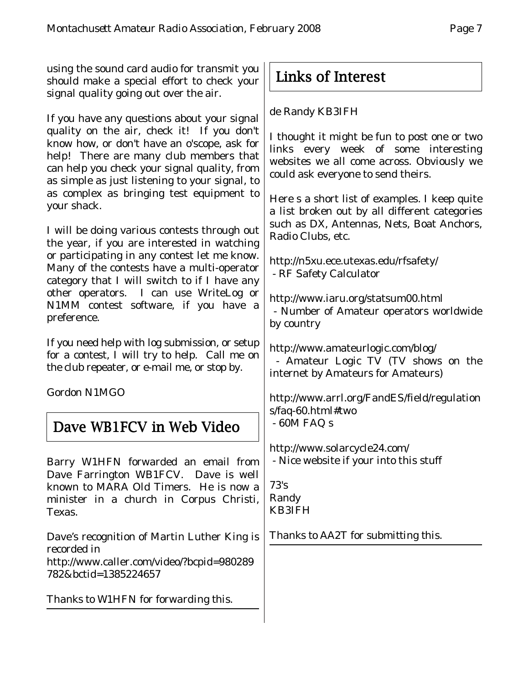using the sound card audio for transmit you should make a special effort to check your signal quality going out over the air.

If you have any questions about your signal quality on the air, check it! If you don't know how, or don't have an o'scope, ask for help! There are many club members that can help you check your signal quality, from as simple as just listening to your signal, to as complex as bringing test equipment to your shack.

I will be doing various contests through out the year, if you are interested in watching or participating in any contest let me know. Many of the contests have a multi-operator category that I will switch to if I have any other operators. I can use WriteLog or N1MM contest software, if you have a preference.

If you need help with log submission, or setup for a contest, I will try to help. Call me on the club repeater, or e-mail me, or stop by.

Gordon N1MGO

## Dave WB1FCV in Web Video

Barry W1HFN forwarded an email from Dave Farrington WB1FCV. Dave is well known to MARA Old Timers. He is now a minister in a church in Corpus Christi, Texas.

Dave's recognition of Martin Luther King is recorded in http://www.caller.com/video/?bcpid=980289 782&bctid=1385224657

*Thanks to W1HFN for forwarding this.*

## Links of Interest

de Randy KB3IFH

I thought it might be fun to post one or two links every week of some interesting websites we all come across. Obviously we could ask everyone to send theirs.

Here s a short list of examples. I keep quite a list broken out by all different categories such as DX, Antennas, Nets, Boat Anchors, Radio Clubs, etc.

http://n5xu.ece.utexas.edu/rfsafety/ - RF Safety Calculator

http://www.iaru.org/statsum00.html - Number of Amateur operators worldwide by country

http://www.amateurlogic.com/blog/ - Amateur Logic TV (TV shows on the internet by Amateurs for Amateurs)

http://www.arrl.org/FandES/field/regulation s/faq-60.html#two - 60M FAQ s

http://www.solarcycle24.com/ - Nice website if your into this stuff

73's Randy KB3IFH

*Thanks to AA2T for submitting this.*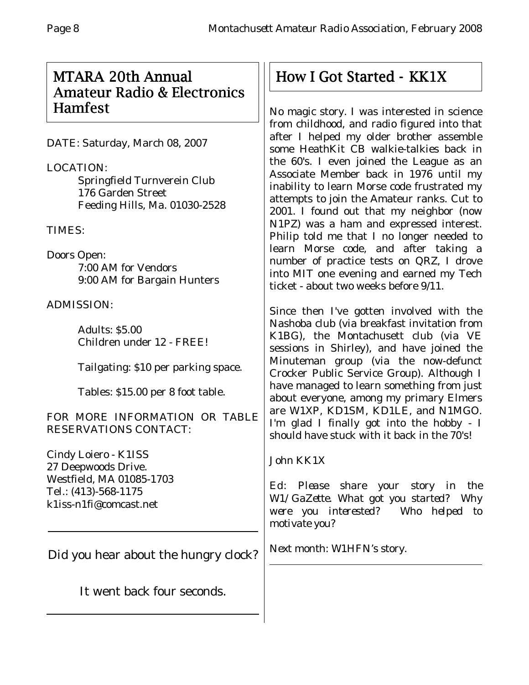## MTARA 20th Annual Amateur Radio & Electronics Hamfest

DATE: Saturday, March 08, 2007

LOCATION: Springfield Turnverein Club 176 Garden Street Feeding Hills, Ma. 01030-2528

TIMES:

Doors Open: 7:00 AM for Vendors 9:00 AM for Bargain Hunters

ADMISSION:

Adults: \$5.00 Children under 12 - FREE!

Tailgating: \$10 per parking space.

Tables: \$15.00 per 8 foot table.

FOR MORE INFORMATION OR TABLE RESERVATIONS CONTACT:

Cindy Loiero - K1ISS 27 Deepwoods Drive. Westfield, MA 01085-1703 Tel.: (413)-568-1175 k1iss-n1fi@comcast.net

Did you hear about the hungry clock?

It went back four seconds.

# How I Got Started - KK1X

No magic story. I was interested in science from childhood, and radio figured into that after I helped my older brother assemble some HeathKit CB walkie-talkies back in the 60's. I even joined the League as an Associate Member back in 1976 until my inability to learn Morse code frustrated my attempts to join the Amateur ranks. Cut to 2001. I found out that my neighbor (now N1PZ) was a ham and expressed interest. Philip told me that I no longer needed to learn Morse code, and after taking a number of practice tests on QRZ, I drove into MIT one evening and earned my Tech ticket - about two weeks before 9/11.

Since then I've gotten involved with the Nashoba club (via breakfast invitation from K1BG), the Montachusett club (via VE sessions in Shirley), and have joined the Minuteman group (via the now-defunct Crocker Public Service Group). Although I have managed to learn something from just about everyone, among my primary Elmers are W1XP, KD1SM, KD1LE, and N1MGO. I'm glad I finally got into the hobby - I should have stuck with it back in the 70's!

### John KK1X

*Ed: Please share your story in the W1/GaZette. What got you started? Why were you interested? Who helped to motivate you?*

*Next month: W1HFN's story.*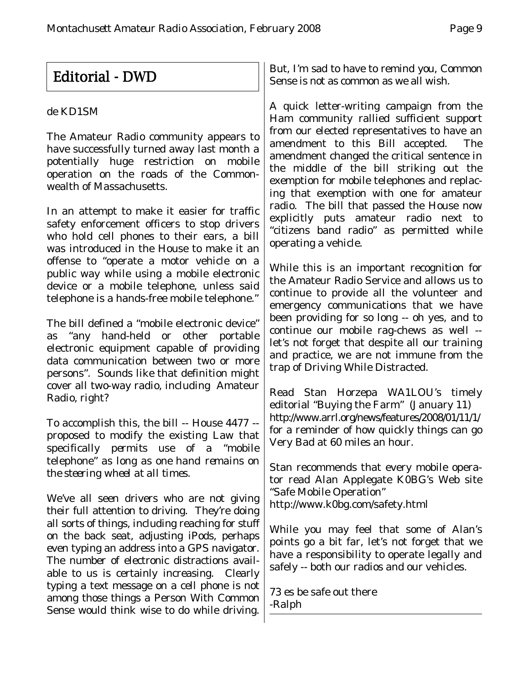# Editorial - DWD

#### de KD1SM

The Amateur Radio community appears to have successfully turned away last month a potentially huge restriction on mobile operation on the roads of the Commonwealth of Massachusetts.

In an attempt to make it easier for traffic safety enforcement officers to stop drivers who hold cell phones to their ears, a bill was introduced in the House to make it an offense to "operate a motor vehicle on a public way while using a mobile electronic device or a mobile telephone, unless said telephone is a hands-free mobile telephone."

The bill defined a "mobile electronic device" as "any hand-held or other portable electronic equipment capable of providing data communication between two or more persons". Sounds like that definition might cover all two-way radio, including Amateur Radio, right?

To accomplish this, the bill -- House 4477 - proposed to modify the existing Law that specifically *permits* use of a "mobile telephone" *as long as one hand remains on the steering wheel at all times.*

We've all seen drivers who are not giving their full attention to driving. They're doing all sorts of things, including reaching for stuff on the back seat, adjusting iPods, perhaps even typing an address into a GPS navigator. The number of electronic distractions available to us is certainly increasing. Clearly typing a text message on a cell phone is not among those things a Person With Common Sense would think wise to do while driving.

But, I'm sad to have to remind you, Common Sense is not as common as we all wish.

A quick letter-writing campaign from the Ham community rallied sufficient support from our elected representatives to have an amendment to this Bill accepted. The amendment changed the critical sentence in the middle of the bill striking out the exemption for mobile telephones and replacing that exemption with one for amateur radio. The bill that passed the House now explicitly puts amateur radio next to "citizens band radio" as permitted while operating a vehicle.

While this is an important recognition for the Amateur Radio Service and allows us to continue to provide all the volunteer and emergency communications that we have been providing for so long -- oh yes, and to continue our mobile rag-chews as well - let's not forget that despite all our training and practice, we are not immune from the trap of Driving While Distracted.

Read Stan Horzepa WA1LOU's timely editorial "Buying the Farm" (January 11) http://www.arrl.org/news/features/2008/01/11/1/ for a reminder of how quickly things can go Very Bad at 60 miles an hour.

Stan recommends that every mobile operator read Alan Applegate K0BG's Web site "Safe Mobile Operation" http://www.k0bg.com/safety.html

While you may feel that some of Alan's points go a bit far, let's not forget that we have a responsibility to operate legally *and* safely -- both our radios and our vehicles.

73 es be safe out there -Ralph